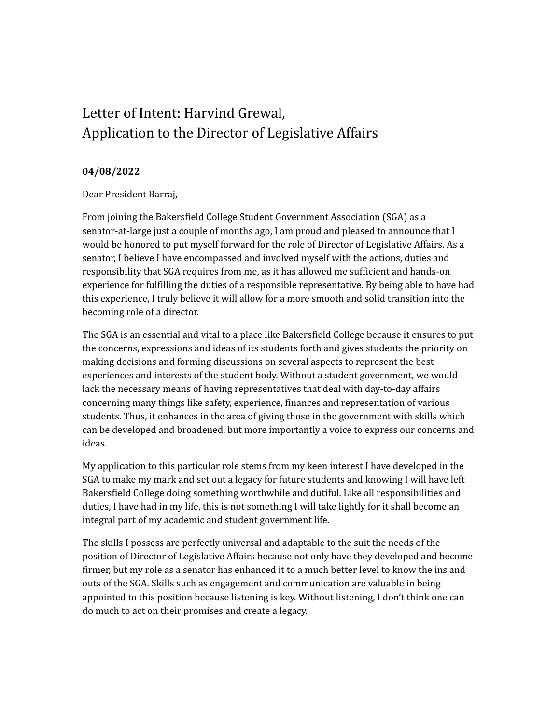## Letter of Intent: Harvind Grewal, Application to the Director of Legislative Affairs

## **04/08/2022**

Dear President Barraj,

From joining the Bakersfield College Student Government Association (SGA) as a senator-at-large just a couple of months ago, I am proud and pleased to announce that I would be honored to put myself forward for the role of Director of Legislative Affairs. As a senator, I believe I have encompassed and involved myself with the actions, duties and responsibility that SGA requires from me, as it has allowed me sufficient and hands-on experience for fulfilling the duties of a responsible representative. By being able to have had this experience, I truly believe it will allow for a more smooth and solid transition into the becoming role of a director.

The SGA is an essential and vital to a place like Bakersfield College because it ensures to put the concerns, expressions and ideas of its students forth and gives students the priority on making decisions and forming discussions on several aspects to represent the best experiences and interests of the student body. Without a student government, we would lack the necessary means of having representatives that deal with day-to-day affairs concerning many things like safety, experience, finances and representation of various students. Thus, it enhances in the area of giving those in the government with skills which can be developed and broadened, but more importantly a voice to express our concerns and ideas.

My application to this particular role stems from my keen interest I have developed in the SGA to make my mark and set out a legacy for future students and knowing I will have left Bakersfield College doing something worthwhile and dutiful. Like all responsibilities and duties, I have had in my life, this is not something I will take lightly for it shall become an integral part of my academic and student government life.

The skills I possess are perfectly universal and adaptable to the suit the needs of the position of Director of Legislative Affairs because not only have they developed and become firmer, but my role as a senator has enhanced it to a much better level to know the ins and outs of the SGA. Skills such as engagement and communication are valuable in being appointed to this position because listening is key. Without listening, I don't think one can do much to act on their promises and create a legacy.